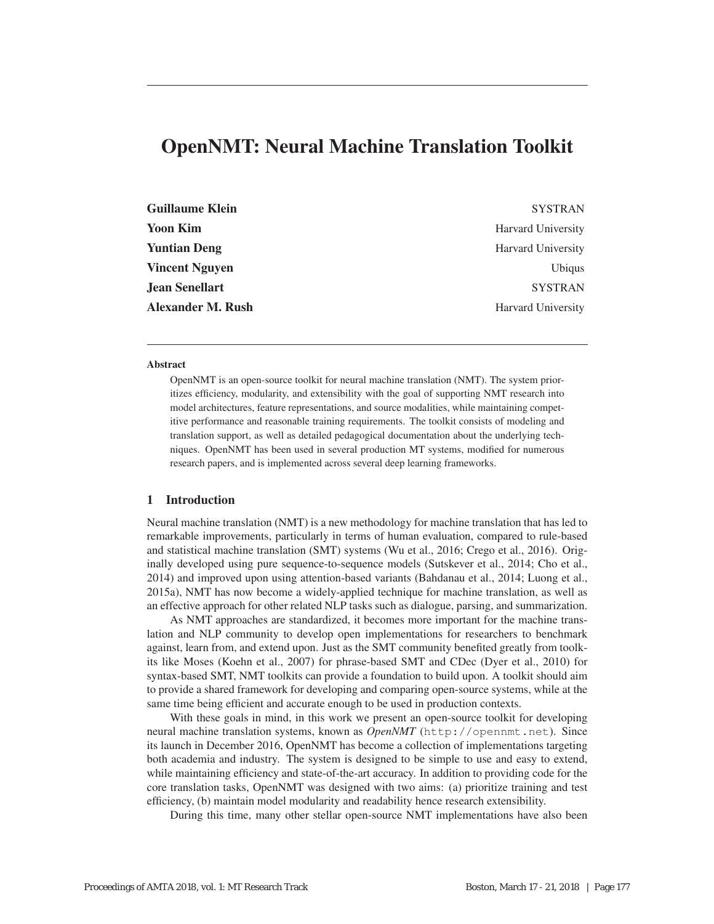# OpenNMT: Neural Machine Translation Toolkit

| <b>Guillaume Klein</b>   | <b>SYSTRAN</b>            |
|--------------------------|---------------------------|
| <b>Yoon Kim</b>          | <b>Harvard University</b> |
| <b>Yuntian Deng</b>      | <b>Harvard University</b> |
| <b>Vincent Nguyen</b>    | <b>Ubiqus</b>             |
| <b>Jean Senellart</b>    | <b>SYSTRAN</b>            |
| <b>Alexander M. Rush</b> | <b>Harvard University</b> |

### Abstract

OpenNMT is an open-source toolkit for neural machine translation (NMT). The system prioritizes efficiency, modularity, and extensibility with the goal of supporting NMT research into model architectures, feature representations, and source modalities, while maintaining competitive performance and reasonable training requirements. The toolkit consists of modeling and translation support, as well as detailed pedagogical documentation about the underlying techniques. OpenNMT has been used in several production MT systems, modified for numerous research papers, and is implemented across several deep learning frameworks.

## 1 Introduction

Neural machine translation (NMT) is a new methodology for machine translation that has led to remarkable improvements, particularly in terms of human evaluation, compared to rule-based and statistical machine translation (SMT) systems (Wu et al., 2016; Crego et al., 2016). Originally developed using pure sequence-to-sequence models (Sutskever et al., 2014; Cho et al., 2014) and improved upon using attention-based variants (Bahdanau et al., 2014; Luong et al., 2015a), NMT has now become a widely-applied technique for machine translation, as well as an effective approach for other related NLP tasks such as dialogue, parsing, and summarization.

As NMT approaches are standardized, it becomes more important for the machine translation and NLP community to develop open implementations for researchers to benchmark against, learn from, and extend upon. Just as the SMT community benefited greatly from toolkits like Moses (Koehn et al., 2007) for phrase-based SMT and CDec (Dyer et al., 2010) for syntax-based SMT, NMT toolkits can provide a foundation to build upon. A toolkit should aim to provide a shared framework for developing and comparing open-source systems, while at the same time being efficient and accurate enough to be used in production contexts.

With these goals in mind, in this work we present an open-source toolkit for developing neural machine translation systems, known as *OpenNMT* (http://opennmt.net). Since its launch in December 2016, OpenNMT has become a collection of implementations targeting both academia and industry. The system is designed to be simple to use and easy to extend, while maintaining efficiency and state-of-the-art accuracy. In addition to providing code for the core translation tasks, OpenNMT was designed with two aims: (a) prioritize training and test efficiency, (b) maintain model modularity and readability hence research extensibility.

During this time, many other stellar open-source NMT implementations have also been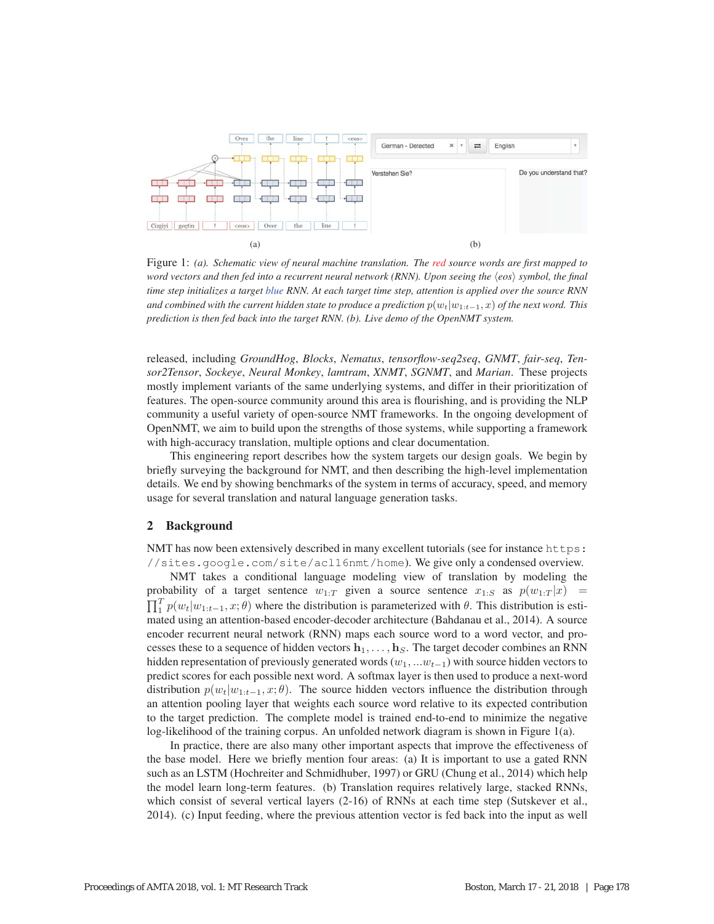

Figure 1: *(a). Schematic view of neural machine translation. The red source words are first mapped to word vectors and then fed into a recurrent neural network (RNN). Upon seeing the*  $\langle e \cos \rangle$  *symbol, the final time step initializes a target blue RNN. At each target time step, attention is applied over the source RNN and combined with the current hidden state to produce a prediction*  $p(w_t|w_{1:t-1}, x)$  *of the next word. This prediction is then fed back into the target RNN. (b). Live demo of the OpenNMT system.*

released, including *GroundHog*, *Blocks*, *Nematus*, *tensorflow-seq2seq*, *GNMT*, *fair-seq*, *Tensor2Tensor*, *Sockeye*, *Neural Monkey*, *lamtram*, *XNMT*, *SGNMT*, and *Marian*. These projects mostly implement variants of the same underlying systems, and differ in their prioritization of features. The open-source community around this area is flourishing, and is providing the NLP community a useful variety of open-source NMT frameworks. In the ongoing development of OpenNMT, we aim to build upon the strengths of those systems, while supporting a framework with high-accuracy translation, multiple options and clear documentation.

This engineering report describes how the system targets our design goals. We begin by briefly surveying the background for NMT, and then describing the high-level implementation details. We end by showing benchmarks of the system in terms of accuracy, speed, and memory usage for several translation and natural language generation tasks.

### 2 Background

NMT has now been extensively described in many excellent tutorials (see for instance https: //sites.google.com/site/acl16nmt/home). We give only a condensed overview.

NMT takes a conditional language modeling view of translation by modeling the probability of a target sentence  $w_{1:T}$  given a source sentence  $x_{1:S}$  as  $p(w_{1:T} | x)$  =  $\prod_{i=1}^{T} p(w_t|w_{1:t-1}, x; \theta)$  where the distribution is parameterized with  $\theta$ . This distribution is esti-<br>mated using an attention-based encoder-decoder architecture (Babdanau et al. 2014). A source mated using an attention-based encoder-decoder architecture (Bahdanau et al., 2014). A source encoder recurrent neural network (RNN) maps each source word to a word vector, and processes these to a sequence of hidden vectors  $h_1, \ldots, h_S$ . The target decoder combines an RNN hidden representation of previously generated words  $(w_1, ... w_{t-1})$  with source hidden vectors to predict scores for each possible next word. A softmax layer is then used to produce a next-word distribution  $p(w_t|w_{1:t-1}, x; \theta)$ . The source hidden vectors influence the distribution through an attention pooling layer that weights each source word relative to its expected contribution to the target prediction. The complete model is trained end-to-end to minimize the negative log-likelihood of the training corpus. An unfolded network diagram is shown in Figure 1(a).

In practice, there are also many other important aspects that improve the effectiveness of the base model. Here we briefly mention four areas: (a) It is important to use a gated RNN such as an LSTM (Hochreiter and Schmidhuber, 1997) or GRU (Chung et al., 2014) which help the model learn long-term features. (b) Translation requires relatively large, stacked RNNs, which consist of several vertical layers  $(2-16)$  of RNNs at each time step (Sutskever et al., 2014). (c) Input feeding, where the previous attention vector is fed back into the input as well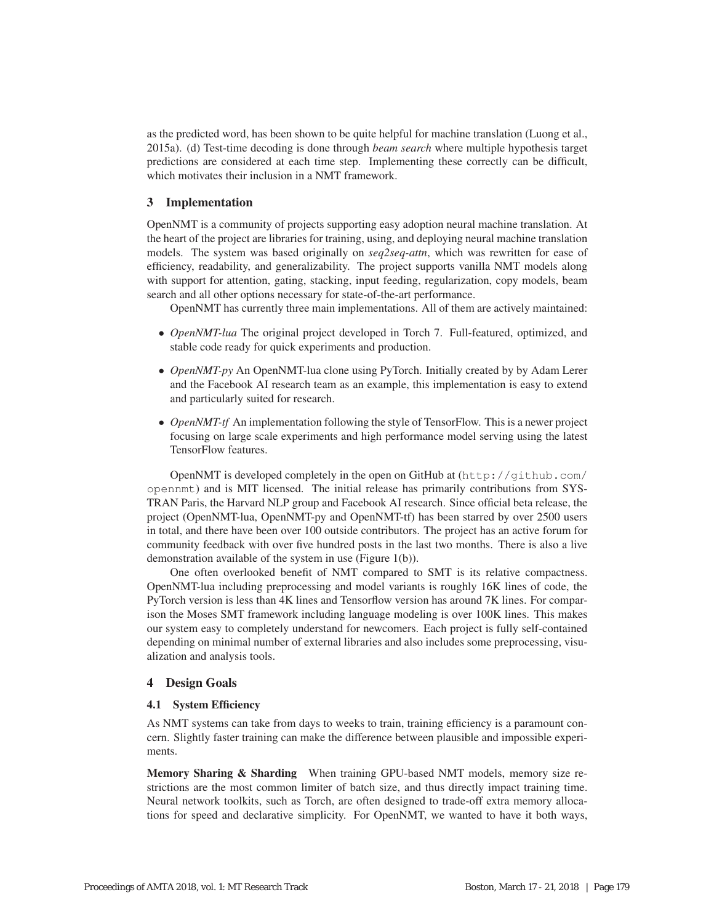as the predicted word, has been shown to be quite helpful for machine translation (Luong et al., 2015a). (d) Test-time decoding is done through *beam search* where multiple hypothesis target predictions are considered at each time step. Implementing these correctly can be difficult, which motivates their inclusion in a NMT framework.

## 3 Implementation

OpenNMT is a community of projects supporting easy adoption neural machine translation. At the heart of the project are libraries for training, using, and deploying neural machine translation models. The system was based originally on *seq2seq-attn*, which was rewritten for ease of efficiency, readability, and generalizability. The project supports vanilla NMT models along with support for attention, gating, stacking, input feeding, regularization, copy models, beam search and all other options necessary for state-of-the-art performance.

OpenNMT has currently three main implementations. All of them are actively maintained:

- *OpenNMT-lua* The original project developed in Torch 7. Full-featured, optimized, and stable code ready for quick experiments and production.
- *OpenNMT-py* An OpenNMT-lua clone using PyTorch. Initially created by by Adam Lerer and the Facebook AI research team as an example, this implementation is easy to extend and particularly suited for research.
- *OpenNMT-tf* An implementation following the style of TensorFlow. This is a newer project focusing on large scale experiments and high performance model serving using the latest TensorFlow features.

OpenNMT is developed completely in the open on GitHub at (http://github.com/ opennmt) and is MIT licensed. The initial release has primarily contributions from SYS-TRAN Paris, the Harvard NLP group and Facebook AI research. Since official beta release, the project (OpenNMT-lua, OpenNMT-py and OpenNMT-tf) has been starred by over 2500 users in total, and there have been over 100 outside contributors. The project has an active forum for community feedback with over five hundred posts in the last two months. There is also a live demonstration available of the system in use (Figure 1(b)).

One often overlooked benefit of NMT compared to SMT is its relative compactness. OpenNMT-lua including preprocessing and model variants is roughly 16K lines of code, the PyTorch version is less than 4K lines and Tensorflow version has around 7K lines. For comparison the Moses SMT framework including language modeling is over 100K lines. This makes our system easy to completely understand for newcomers. Each project is fully self-contained depending on minimal number of external libraries and also includes some preprocessing, visualization and analysis tools.

### 4 Design Goals

#### 4.1 System Efficiency

As NMT systems can take from days to weeks to train, training efficiency is a paramount concern. Slightly faster training can make the difference between plausible and impossible experiments.

Memory Sharing & Sharding When training GPU-based NMT models, memory size restrictions are the most common limiter of batch size, and thus directly impact training time. Neural network toolkits, such as Torch, are often designed to trade-off extra memory allocations for speed and declarative simplicity. For OpenNMT, we wanted to have it both ways,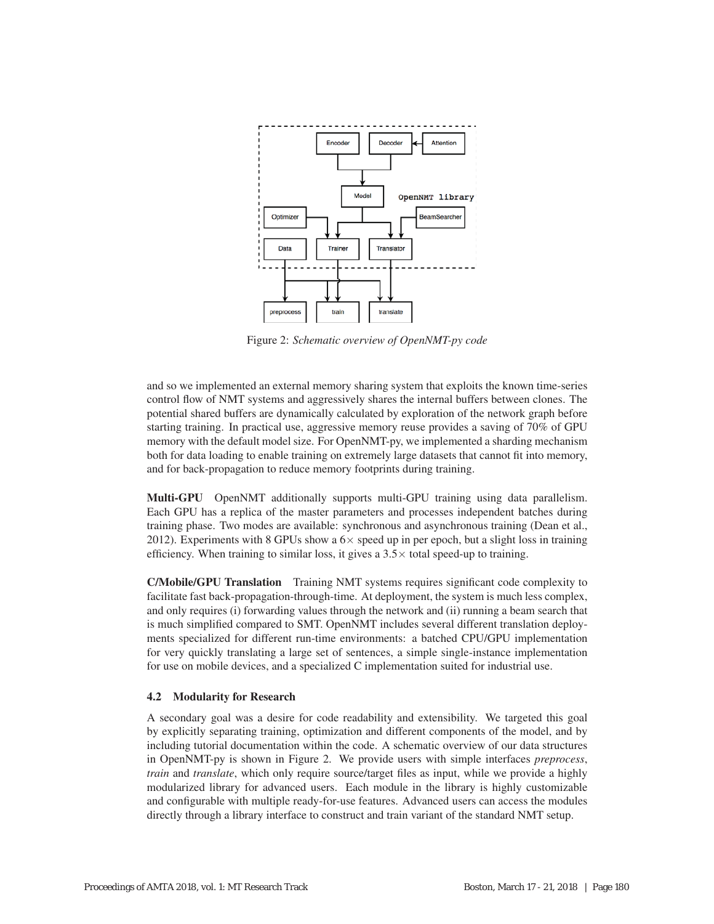

Figure 2: *Schematic overview of OpenNMT-py code*

and so we implemented an external memory sharing system that exploits the known time-series control flow of NMT systems and aggressively shares the internal buffers between clones. The potential shared buffers are dynamically calculated by exploration of the network graph before starting training. In practical use, aggressive memory reuse provides a saving of 70% of GPU memory with the default model size. For OpenNMT-py, we implemented a sharding mechanism both for data loading to enable training on extremely large datasets that cannot fit into memory, and for back-propagation to reduce memory footprints during training.

Multi-GPU OpenNMT additionally supports multi-GPU training using data parallelism. Each GPU has a replica of the master parameters and processes independent batches during training phase. Two modes are available: synchronous and asynchronous training (Dean et al., 2012). Experiments with 8 GPUs show a  $6\times$  speed up in per epoch, but a slight loss in training efficiency. When training to similar loss, it gives a  $3.5\times$  total speed-up to training.

C/Mobile/GPU Translation Training NMT systems requires significant code complexity to facilitate fast back-propagation-through-time. At deployment, the system is much less complex, and only requires (i) forwarding values through the network and (ii) running a beam search that is much simplified compared to SMT. OpenNMT includes several different translation deployments specialized for different run-time environments: a batched CPU/GPU implementation for very quickly translating a large set of sentences, a simple single-instance implementation for use on mobile devices, and a specialized C implementation suited for industrial use.

### 4.2 Modularity for Research

A secondary goal was a desire for code readability and extensibility. We targeted this goal by explicitly separating training, optimization and different components of the model, and by including tutorial documentation within the code. A schematic overview of our data structures in OpenNMT-py is shown in Figure 2. We provide users with simple interfaces *preprocess*, *train* and *translate*, which only require source/target files as input, while we provide a highly modularized library for advanced users. Each module in the library is highly customizable and configurable with multiple ready-for-use features. Advanced users can access the modules directly through a library interface to construct and train variant of the standard NMT setup.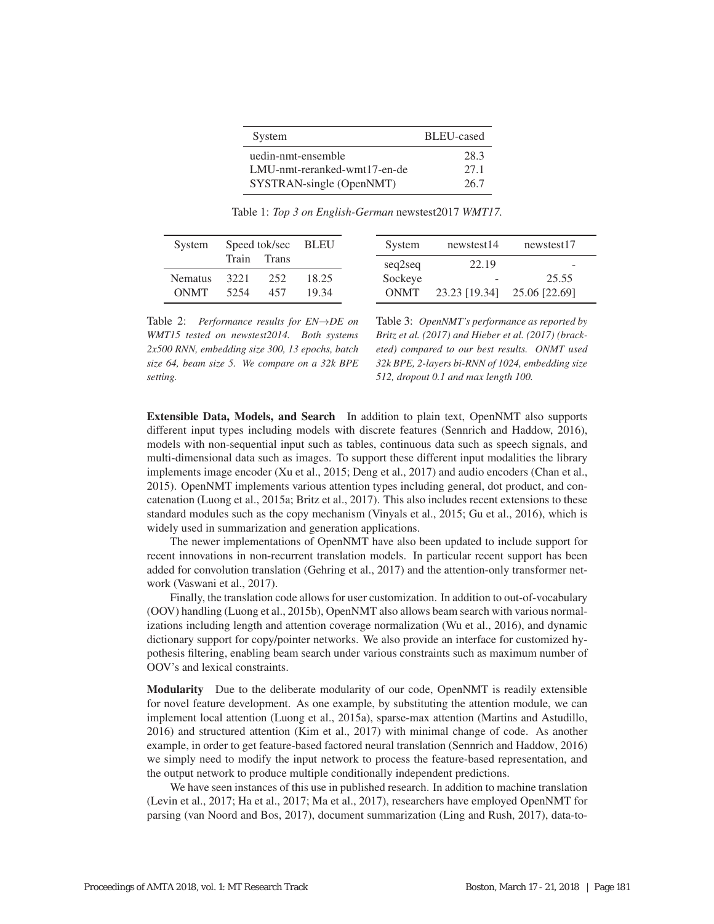| System                       | BLEU-cased |
|------------------------------|------------|
| uedin-nmt-ensemble           | 28.3       |
| LMU-nmt-reranked-wmt17-en-de | 27.1       |
| SYSTRAN-single (OpenNMT)     | 26.7       |

Table 1: *Top 3 on English-German* newstest2017 *WMT17.*

| System         | Speed tok/sec BLEU |              |       | System |             | newstest14                  | newstest17               |
|----------------|--------------------|--------------|-------|--------|-------------|-----------------------------|--------------------------|
|                | Train              | <b>Trans</b> |       |        | seq2seq     | 22.19                       | $\overline{\phantom{a}}$ |
| <b>Nematus</b> | 3221               | 2.52         | 18.25 |        | Sockeye     | $\overline{\phantom{a}}$    | 25.55                    |
| <b>ONMT</b>    | 5254               | 457          | 19.34 |        | <b>ONMT</b> | 23.23 [19.34] 25.06 [22.69] |                          |

Table 2: *Performance results for EN*→*DE on WMT15 tested on newstest2014. Both systems 2x500 RNN, embedding size 300, 13 epochs, batch size 64, beam size 5. We compare on a 32k BPE setting.*

Table 3: *OpenNMT's performance as reported by Britz et al. (2017) and Hieber et al. (2017) (bracketed) compared to our best results. ONMT used 32k BPE, 2-layers bi-RNN of 1024, embedding size 512, dropout 0.1 and max length 100.*

Extensible Data, Models, and Search In addition to plain text, OpenNMT also supports different input types including models with discrete features (Sennrich and Haddow, 2016), models with non-sequential input such as tables, continuous data such as speech signals, and multi-dimensional data such as images. To support these different input modalities the library implements image encoder (Xu et al., 2015; Deng et al., 2017) and audio encoders (Chan et al., 2015). OpenNMT implements various attention types including general, dot product, and concatenation (Luong et al., 2015a; Britz et al., 2017). This also includes recent extensions to these standard modules such as the copy mechanism (Vinyals et al., 2015; Gu et al., 2016), which is widely used in summarization and generation applications.

The newer implementations of OpenNMT have also been updated to include support for recent innovations in non-recurrent translation models. In particular recent support has been added for convolution translation (Gehring et al., 2017) and the attention-only transformer network (Vaswani et al., 2017).

Finally, the translation code allows for user customization. In addition to out-of-vocabulary (OOV) handling (Luong et al., 2015b), OpenNMT also allows beam search with various normalizations including length and attention coverage normalization (Wu et al., 2016), and dynamic dictionary support for copy/pointer networks. We also provide an interface for customized hypothesis filtering, enabling beam search under various constraints such as maximum number of OOV's and lexical constraints.

Modularity Due to the deliberate modularity of our code, OpenNMT is readily extensible for novel feature development. As one example, by substituting the attention module, we can implement local attention (Luong et al., 2015a), sparse-max attention (Martins and Astudillo, 2016) and structured attention (Kim et al., 2017) with minimal change of code. As another example, in order to get feature-based factored neural translation (Sennrich and Haddow, 2016) we simply need to modify the input network to process the feature-based representation, and the output network to produce multiple conditionally independent predictions.

We have seen instances of this use in published research. In addition to machine translation (Levin et al., 2017; Ha et al., 2017; Ma et al., 2017), researchers have employed OpenNMT for parsing (van Noord and Bos, 2017), document summarization (Ling and Rush, 2017), data-to-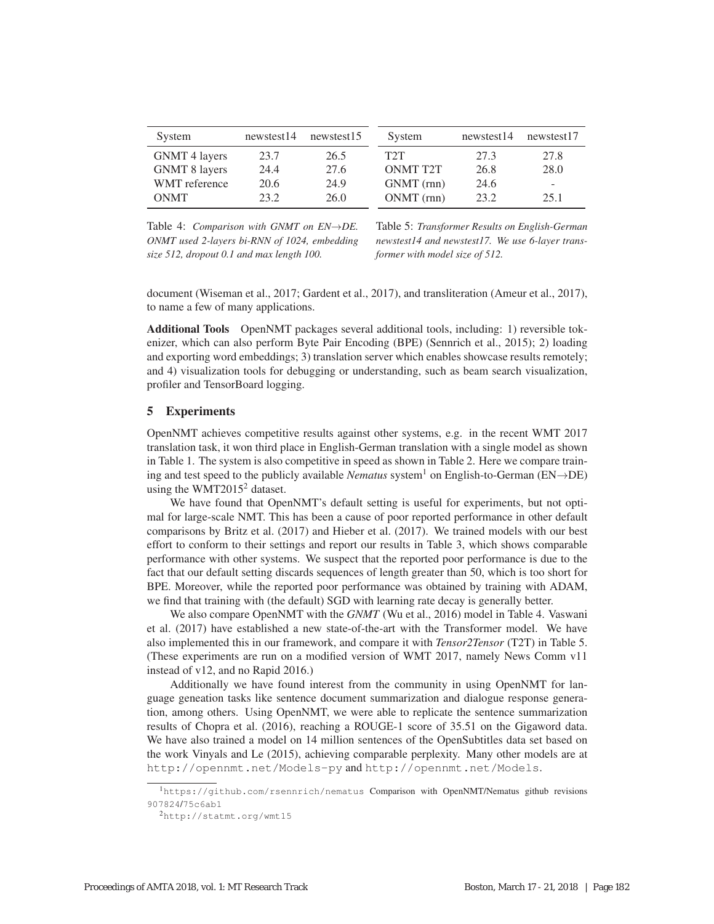| System               | newstest14 | newstest15 | System           | newstest14 | newstest17 |
|----------------------|------------|------------|------------------|------------|------------|
| <b>GNMT</b> 4 layers | 23.7       | 26.5       | T <sub>2</sub> T | 27.3       | 27.8       |
| <b>GNMT 8 layers</b> | 24.4       | 27.6       | <b>ONMT T2T</b>  | 26.8       | 28.0       |
| <b>WMT</b> reference | 20.6       | 24.9       | GNMT (rnn)       | 24.6       | -          |
| <b>ONMT</b>          | 23.2       | 26.0       | $ONMT$ (rnn)     | 23.2       | 25.1       |

Table 4: *Comparison with GNMT on EN*→*DE. ONMT used 2-layers bi-RNN of 1024, embedding size 512, dropout 0.1 and max length 100.*

Table 5: *Transformer Results on English-German newstest14 and newstest17. We use 6-layer transformer with model size of 512.*

document (Wiseman et al., 2017; Gardent et al., 2017), and transliteration (Ameur et al., 2017), to name a few of many applications.

Additional Tools OpenNMT packages several additional tools, including: 1) reversible tokenizer, which can also perform Byte Pair Encoding (BPE) (Sennrich et al., 2015); 2) loading and exporting word embeddings; 3) translation server which enables showcase results remotely; and 4) visualization tools for debugging or understanding, such as beam search visualization, profiler and TensorBoard logging.

## 5 Experiments

OpenNMT achieves competitive results against other systems, e.g. in the recent WMT 2017 translation task, it won third place in English-German translation with a single model as shown in Table 1. The system is also competitive in speed as shown in Table 2. Here we compare training and test speed to the publicly available *Nematus* system<sup>1</sup> on English-to-German ( $EN\rightarrow DE$ ) using the WMT2015<sup>2</sup> dataset.

We have found that OpenNMT's default setting is useful for experiments, but not optimal for large-scale NMT. This has been a cause of poor reported performance in other default comparisons by Britz et al. (2017) and Hieber et al. (2017). We trained models with our best effort to conform to their settings and report our results in Table 3, which shows comparable performance with other systems. We suspect that the reported poor performance is due to the fact that our default setting discards sequences of length greater than 50, which is too short for BPE. Moreover, while the reported poor performance was obtained by training with ADAM, we find that training with (the default) SGD with learning rate decay is generally better.

We also compare OpenNMT with the *GNMT* (Wu et al., 2016) model in Table 4. Vaswani et al. (2017) have established a new state-of-the-art with the Transformer model. We have also implemented this in our framework, and compare it with *Tensor2Tensor* (T2T) in Table 5. (These experiments are run on a modified version of WMT 2017, namely News Comm v11 instead of v12, and no Rapid 2016.)

Additionally we have found interest from the community in using OpenNMT for language geneation tasks like sentence document summarization and dialogue response generation, among others. Using OpenNMT, we were able to replicate the sentence summarization results of Chopra et al. (2016), reaching a ROUGE-1 score of 35.51 on the Gigaword data. We have also trained a model on 14 million sentences of the OpenSubtitles data set based on the work Vinyals and Le (2015), achieving comparable perplexity. Many other models are at http://opennmt.net/Models-py and http://opennmt.net/Models.

<sup>1</sup>https://github.com/rsennrich/nematus Comparison with OpenNMT/Nematus github revisions 907824/75c6ab1

<sup>2</sup>http://statmt.org/wmt15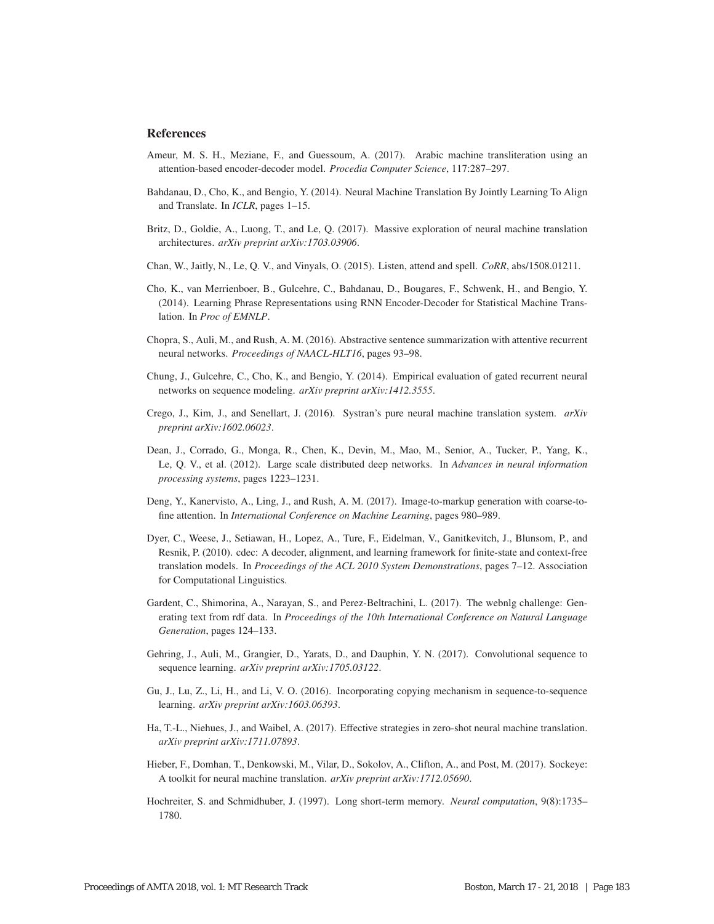#### **References**

- Ameur, M. S. H., Meziane, F., and Guessoum, A. (2017). Arabic machine transliteration using an attention-based encoder-decoder model. *Procedia Computer Science*, 117:287–297.
- Bahdanau, D., Cho, K., and Bengio, Y. (2014). Neural Machine Translation By Jointly Learning To Align and Translate. In *ICLR*, pages 1–15.
- Britz, D., Goldie, A., Luong, T., and Le, Q. (2017). Massive exploration of neural machine translation architectures. *arXiv preprint arXiv:1703.03906*.
- Chan, W., Jaitly, N., Le, Q. V., and Vinyals, O. (2015). Listen, attend and spell. *CoRR*, abs/1508.01211.
- Cho, K., van Merrienboer, B., Gulcehre, C., Bahdanau, D., Bougares, F., Schwenk, H., and Bengio, Y. (2014). Learning Phrase Representations using RNN Encoder-Decoder for Statistical Machine Translation. In *Proc of EMNLP*.
- Chopra, S., Auli, M., and Rush, A. M. (2016). Abstractive sentence summarization with attentive recurrent neural networks. *Proceedings of NAACL-HLT16*, pages 93–98.
- Chung, J., Gulcehre, C., Cho, K., and Bengio, Y. (2014). Empirical evaluation of gated recurrent neural networks on sequence modeling. *arXiv preprint arXiv:1412.3555*.
- Crego, J., Kim, J., and Senellart, J. (2016). Systran's pure neural machine translation system. *arXiv preprint arXiv:1602.06023*.
- Dean, J., Corrado, G., Monga, R., Chen, K., Devin, M., Mao, M., Senior, A., Tucker, P., Yang, K., Le, Q. V., et al. (2012). Large scale distributed deep networks. In *Advances in neural information processing systems*, pages 1223–1231.
- Deng, Y., Kanervisto, A., Ling, J., and Rush, A. M. (2017). Image-to-markup generation with coarse-tofine attention. In *International Conference on Machine Learning*, pages 980–989.
- Dyer, C., Weese, J., Setiawan, H., Lopez, A., Ture, F., Eidelman, V., Ganitkevitch, J., Blunsom, P., and Resnik, P. (2010). cdec: A decoder, alignment, and learning framework for finite-state and context-free translation models. In *Proceedings of the ACL 2010 System Demonstrations*, pages 7–12. Association for Computational Linguistics.
- Gardent, C., Shimorina, A., Narayan, S., and Perez-Beltrachini, L. (2017). The webnlg challenge: Generating text from rdf data. In *Proceedings of the 10th International Conference on Natural Language Generation*, pages 124–133.
- Gehring, J., Auli, M., Grangier, D., Yarats, D., and Dauphin, Y. N. (2017). Convolutional sequence to sequence learning. *arXiv preprint arXiv:1705.03122*.
- Gu, J., Lu, Z., Li, H., and Li, V. O. (2016). Incorporating copying mechanism in sequence-to-sequence learning. *arXiv preprint arXiv:1603.06393*.
- Ha, T.-L., Niehues, J., and Waibel, A. (2017). Effective strategies in zero-shot neural machine translation. *arXiv preprint arXiv:1711.07893*.
- Hieber, F., Domhan, T., Denkowski, M., Vilar, D., Sokolov, A., Clifton, A., and Post, M. (2017). Sockeye: A toolkit for neural machine translation. *arXiv preprint arXiv:1712.05690*.
- Hochreiter, S. and Schmidhuber, J. (1997). Long short-term memory. *Neural computation*, 9(8):1735– 1780.